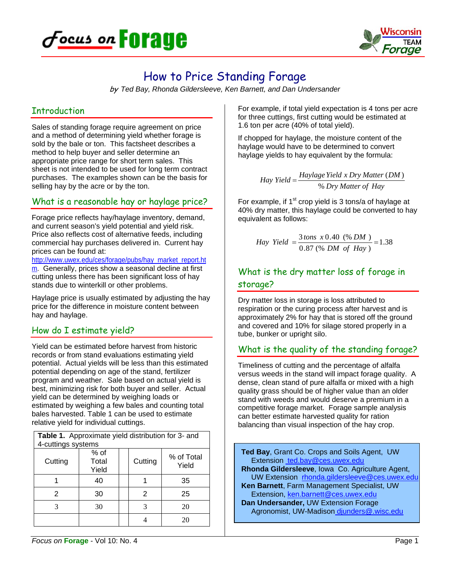



# How to Price Standing Forage

by *Ted Bay, Rhonda Gildersleeve, Ken Barnett, and Dan Undersander*

#### **Introduction**

Sales of standing forage require agreement on price and a method of determining yield whether forage is sold by the bale or ton. This factsheet describes a method to help buyer and seller determine an appropriate price range for short term sales. This sheet is not intended to be used for long term contract purchases. The examples shown can be the basis for selling hay by the acre or by the ton.

## What is a reasonable hay or haylage price?

Forage price reflects hay/haylage inventory, demand, and current season's yield potential and yield risk. Price also reflects cost of alternative feeds, including commercial hay purchases delivered in. Current hay prices can be found at:

http://www.uwex.edu/ces/forage/pubs/hay\_market\_report.ht m. Generally, prices show a seasonal decline at first cutting unless there has been significant loss of hay stands due to winterkill or other problems.

Haylage price is usually estimated by adjusting the hay price for the difference in moisture content between hay and haylage.

## How do I estimate yield?

Yield can be estimated before harvest from historic records or from stand evaluations estimating yield potential. Actual yields will be less than this estimated potential depending on age of the stand, fertilizer program and weather. Sale based on actual yield is best, minimizing risk for both buyer and seller. Actual yield can be determined by weighing loads or estimated by weighing a few bales and counting total bales harvested. Table 1 can be used to estimate relative yield for individual cuttings.

| Table 1. Approximate yield distribution for 3- and |                        |  |         |                     |
|----------------------------------------------------|------------------------|--|---------|---------------------|
| 4-cuttings systems                                 |                        |  |         |                     |
| Cutting                                            | % of<br>Total<br>Yield |  | Cutting | % of Total<br>Yield |
|                                                    | 40                     |  |         | 35                  |
| 2                                                  | 30                     |  | 2       | 25                  |
| 3                                                  | 30                     |  | 3       | 20                  |
|                                                    |                        |  |         | 20                  |

For example, if total yield expectation is 4 tons per acre for three cuttings, first cutting would be estimated at 1.6 ton per acre (40% of total yield).

If chopped for haylage, the moisture content of the haylage would have to be determined to convert haylage yields to hay equivalent by the formula:

> *Dry Matter of Hay HaylageYield x Dry Matter DM Hay Yield* %  $=\frac{Haylage Yield x Dry Matter (DM)}{1}$

For example, if  $1<sup>st</sup>$  crop yield is 3 tons/a of haylage at 40% dry matter, this haylage could be converted to hay equivalent as follows:

*Hay Yield* = 
$$
\frac{3 \text{ tons } x \cdot 0.40 \cdot (\% DM)}{0.87 \cdot (\% DM \cdot of \cdot Hay)} = 1.38
$$

## What is the dry matter loss of forage in storage?

Dry matter loss in storage is loss attributed to respiration or the curing process after harvest and is approximately 2% for hay that is stored off the ground and covered and 10% for silage stored properly in a tube, bunker or upright silo.

## What is the quality of the standing forage?

Timeliness of cutting and the percentage of alfalfa versus weeds in the stand will impact forage quality. A dense, clean stand of pure alfalfa or mixed with a high quality grass should be of higher value than an older stand with weeds and would deserve a premium in a competitive forage market. Forage sample analysis can better estimate harvested quality for ration balancing than visual inspection of the hay crop.

**Ted Bay**, Grant Co. Crops and Soils Agent, UW Extension\_ted.bay@ces.uwex.edu **Rhonda Gildersleeve**, Iowa Co. Agriculture Agent, UW Extension rhonda.gildersleeve@ces.uwex.edu **Ken Barnett**, Farm Management Specialist, UW Extension, ken.barnett@ces.uwex.edu **Dan Undersander,** UW Extension Forage Agronomist, UW-Madison djunders@.wisc.edu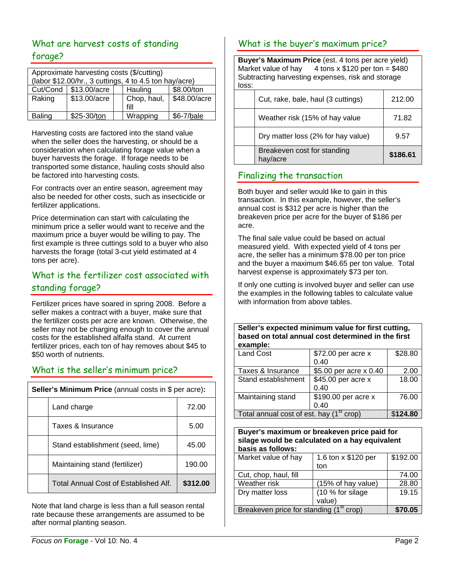## What are harvest costs of standing forage?

| Approximate harvesting costs (\$/cutting)<br>(labor \$12.00/hr., 3 cuttings, 4 to 4.5 ton hay/acre) |              |  |                     |              |
|-----------------------------------------------------------------------------------------------------|--------------|--|---------------------|--------------|
| Cut/Cond                                                                                            | \$13.00/acre |  | Hauling             | \$8.00/ton   |
| Raking                                                                                              | \$13.00/acre |  | Chop, haul,<br>fill | \$48.00/acre |
| <b>Baling</b>                                                                                       | \$25-30/ton  |  | Wrapping            | \$6-7/bale   |

Harvesting costs are factored into the stand value when the seller does the harvesting, or should be a consideration when calculating forage value when a buyer harvests the forage. If forage needs to be transported some distance, hauling costs should also be factored into harvesting costs.

For contracts over an entire season, agreement may also be needed for other costs, such as insecticide or fertilizer applications.

Price determination can start with calculating the minimum price a seller would want to receive and the maximum price a buyer would be willing to pay. The first example is three cuttings sold to a buyer who also harvests the forage (total 3-cut yield estimated at 4 tons per acre).

## What is the fertilizer cost associated with standing forage?

Fertilizer prices have soared in spring 2008. Before a seller makes a contract with a buyer, make sure that the fertilizer costs per acre are known. Otherwise, the seller may not be charging enough to cover the annual costs for the established alfalfa stand. At current fertilizer prices, each ton of hay removes about \$45 to \$50 worth of nutrients.

## What is the seller's minimum price?

| Seller's Minimum Price (annual costs in \$ per acre): |                                       |          |
|-------------------------------------------------------|---------------------------------------|----------|
|                                                       | Land charge                           | 72.00    |
|                                                       | Taxes & Insurance                     | 5.00     |
|                                                       | Stand establishment (seed, lime)      | 45.00    |
|                                                       | Maintaining stand (fertilizer)        | 190.00   |
|                                                       | Total Annual Cost of Established Alf. | \$312.00 |

Note that land charge is less than a full season rental rate because these arrangements are assumed to be after normal planting season.

## What is the buyer's maximum price?

**Buyer's Maximum Price** (est. 4 tons per acre yield) Market value of hay  $4$  tons x \$120 per ton = \$480 Subtracting harvesting expenses, risk and storage loss:

| Breakeven cost for standing<br>hav/acre | \$186.61 |
|-----------------------------------------|----------|
| Dry matter loss (2% for hay value)      | 9.57     |
| Weather risk (15% of hay value          | 71.82    |
| Cut, rake, bale, haul (3 cuttings)      | 212.00   |
|                                         |          |

## Finalizing the transaction

Both buyer and seller would like to gain in this transaction. In this example, however, the seller's annual cost is \$312 per acre is higher than the breakeven price per acre for the buyer of \$186 per acre.

The final sale value could be based on actual measured yield. With expected yield of 4 tons per acre, the seller has a minimum \$78.00 per ton price and the buyer a maximum \$46.65 per ton value. Total harvest expense is approximately \$73 per ton.

If only one cutting is involved buyer and seller can use the examples in the following tables to calculate value with information from above tables.

#### **Seller's expected minimum value for first cutting, based on total annual cost determined in the first example:**

| <b>Land Cost</b>                                     | \$72.00 per acre x     | \$28.80 |
|------------------------------------------------------|------------------------|---------|
|                                                      | 0.40                   |         |
| Taxes & Insurance                                    | \$5.00 per acre x 0.40 | 2.00    |
| Stand establishment                                  | \$45.00 per acre x     | 18.00   |
|                                                      | 0.40                   |         |
| Maintaining stand                                    | \$190.00 per acre x    | 76.00   |
|                                                      | 0.40                   |         |
| Total annual cost of est. hay (1 <sup>st</sup> crop) | \$124.80               |         |

**Buyer's maximum or breakeven price paid for silage would be calculated on a hay equivalent basis as follows:**  Market value of hay  $\mid$  1.6 ton x \$120 per

| Breakeven price for standing (1 <sup>st</sup> crop) | \$70.05                    |          |
|-----------------------------------------------------|----------------------------|----------|
| Dry matter loss                                     | (10 % for silage<br>value) | 19.15    |
| Weather risk                                        | (15% of hay value)         | 28.80    |
| Cut, chop, haul, fill                               |                            | 74.00    |
| Market value of hay                                 | 1.6 ton x \$120 per<br>ton | \$192.00 |